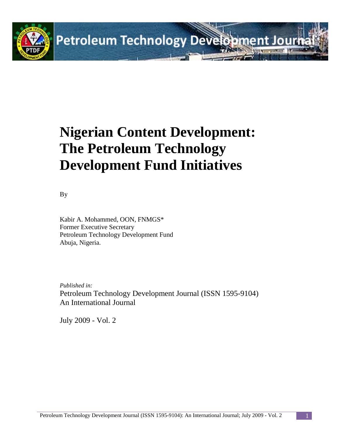

# **Nigerian Content Development: The Petroleum Technology Development Fund Initiatives**

By

Kabir A. Mohammed, OON, FNMGS\* Former Executive Secretary Petroleum Technology Development Fund Abuja, Nigeria.

*Published in:* Petroleum Technology Development Journal (ISSN 1595-9104) An International Journal

July 2009 - Vol. 2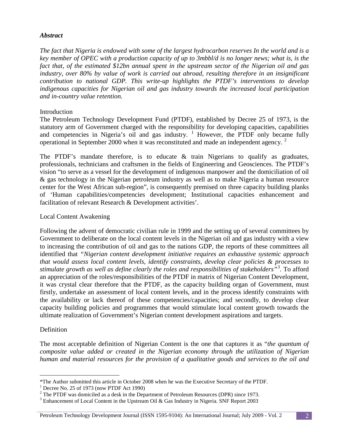#### *Abstract*

*The fact that Nigeria is endowed with some of the largest hydrocarbon reserves In the world and is a key member of OPEC with a production capacity of up to 3mbbl/d is no longer news; what is, is the fact that, of the estimated \$12bn annual spent in the upstream sector of the Nigerian oil and gas industry, over 80% by value of work is carried out abroad, resulting therefore in an insignificant contribution to national GDP. This write-up highlights the PTDF's interventions to develop indigenous capacities for Nigerian oil and gas industry towards the increased local participation and in-country value retention.*

#### Introduction

The Petroleum Technology Development Fund (PTDF), established by Decree 25 of 1973, is the statutory arm of Government charged with the responsibility for developing capacities, capabilities and competencies in Nigeria's oil and gas industry.  $1$  However, the PTDF only became fully operational in September [2](#page-1-1)000 when it was reconstituted and made an independent agency.<sup>2</sup>

The PTDF's mandate therefore, is to educate  $\&$  train Nigerians to qualify as graduates, professionals, technicians and craftsmen in the fields of Engineering and Geosciences. The PTDF's vision "to serve as a vessel for the development of indigenous manpower and the domiciliation of oil & gas technology in the Nigerian petroleum industry as well as to make Nigeria a human resource center for the West African sub-region", is consequently premised on three capacity building planks of 'Human capabilities/competencies development; Institutional capacities enhancement and facilitation of relevant Research & Development activities'.

#### Local Content Awakening

Following the advent of democratic civilian rule in 1999 and the setting up of several committees by Government to deliberate on the local content levels in the Nigerian oil and gas industry with a view to increasing the contribution of oil and gas to the nations GDP, the reports of these committees all identified that *"Nigerian content development initiative requires an exhaustive systemic approach that would assess local content levels, identify constraints, develop clear policies & processes to stimulate growth as well as define clearly the roles and responsibilities of stakeholders"*[3](#page-1-2) . To afford an appreciation of the roles/responsibilities of the PTDF in matrix of Nigerian Content Development, it was crystal clear therefore that the PTDF, as the capacity building organ of Government, must firstly, undertake an assessment of local content levels, and in the process identify constraints with the availability or lack thereof of these competencies/capacities; and secondly, to develop clear capacity building policies and programmes that would stimulate local content growth towards the ultimate realization of Government's Nigerian content development aspirations and targets.

#### Definition

The most acceptable definition of Nigerian Content is the one that captures it as "*the quantum of composite value added or created in the Nigerian economy through the utilization of Nigerian human and material resources for the provision of a qualitative goods and services to the oil and* 

#### Petroleum Technology Development Journal (ISSN 1595-9104): An International Journal; July 2009 - Vol. 2 2

<span id="page-1-0"></span> $\overline{a}$ \*The Author submitted this article in October 2008 when he was the Executive Secretary of the PTDF.

 $<sup>1</sup>$  Decree No. 25 of 1973 (now PTDF Act 1990)</sup>

<span id="page-1-1"></span><sup>&</sup>lt;sup>2</sup> The PTDF was domiciled as a desk in the Department of Petroleum Resources (DPR) since 1973.<br><sup>3</sup> Enhancement of Local Content in the Upstream Oil & Gas Industry in Nigeria. SNF Report 2003

<span id="page-1-2"></span>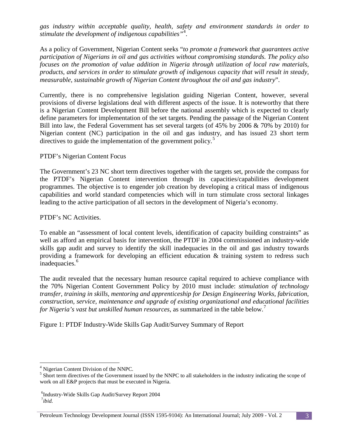*gas industry within acceptable quality, health, safety and environment standards in order to stimulate the development of indigenous capabilities"*[4](#page-2-0) .

As a policy of Government, Nigerian Content seeks "*to promote a framework that guarantees active participation of Nigerians in oil and gas activities without compromising standards. The policy also focuses on the promotion of value addition in Nigeria through utilization of local raw materials, products, and services in order to stimulate growth of indigenous capacity that will result in steady, measurable, sustainable growth of Nigerian Content throughout the oil and gas industry*".

Currently, there is no comprehensive legislation guiding Nigerian Content, however, several provisions of diverse legislations deal with different aspects of the issue. It is noteworthy that there is a Nigerian Content Development Bill before the national assembly which is expected to clearly define parameters for implementation of the set targets. Pending the passage of the Nigerian Content Bill into law, the Federal Government has set several targets (of 45% by 2006 & 70% by 2010) for Nigerian content (NC) participation in the oil and gas industry, and has issued 23 short term directives to guide the implementation of the government policy.<sup>[5](#page-2-1)</sup>

PTDF's Nigerian Content Focus

The Government's 23 NC short term directives together with the targets set, provide the compass for the PTDF's Nigerian Content intervention through its capacities/capabilities development programmes. The objective is to engender job creation by developing a critical mass of indigenous capabilities and world standard competencies which will in turn stimulate cross sectoral linkages leading to the active participation of all sectors in the development of Nigeria's economy.

PTDF's NC Activities.

To enable an "assessment of local content levels, identification of capacity building constraints" as well as afford an empirical basis for intervention, the PTDF in 2004 commissioned an industry-wide skills gap audit and survey to identify the skill inadequacies in the oil and gas industry towards providing a framework for developing an efficient education & training system to redress such inadequacies.<sup>[6](#page-2-2)</sup>

The audit revealed that the necessary human resource capital required to achieve compliance with the 70% Nigerian Content Government Policy by 2010 must include: *stimulation of technology transfer, training in skills, mentoring and apprenticeship for Design Engineering Works, fabrication, construction, service, maintenance and upgrade of existing organizational and educational facilities for Nigeria's vast but unskilled human resources,* as summarized in the table below.[7](#page-2-3)

Figure 1: PTDF Industry-Wide Skills Gap Audit/Survey Summary of Report

<sup>&</sup>lt;sup>4</sup> Nigerian Content Division of the NNPC.

<span id="page-2-1"></span><span id="page-2-0"></span><sup>&</sup>lt;sup>5</sup> Short term directives of the Government issued by the NNPC to all stakeholders in the industry indicating the scope of work on all E&P projects that must be executed in Nigeria.

<span id="page-2-3"></span><span id="page-2-2"></span> ${}^{6}$ Industry-Wide Skills Gap Audit/Survey Report 2004 *ibid.*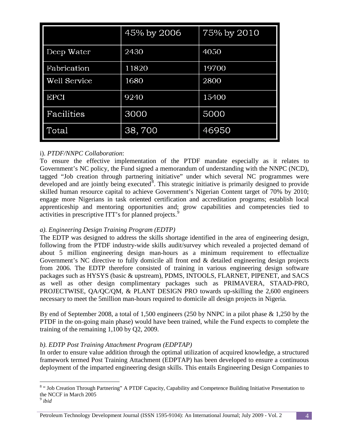|                     | 45% by 2006 | 75% by 2010 |
|---------------------|-------------|-------------|
| Deep Water          | 2430        | 4050        |
| Fabrication         | 11820       | 19700       |
| <b>Well Service</b> | 1680        | 2800        |
| <b>EPCI</b>         | 9240        | 15400       |
| Facilities          | 3000        | 5000        |
| Total               | 38,700      | 46950       |

# i). *PTDF/NNPC Collaboration*:

To ensure the effective implementation of the PTDF mandate especially as it relates to Government's NC policy, the Fund signed a memorandum of understanding with the NNPC (NCD), tagged "Job creation through partnering initiative" under which several NC programmes were developed and are jointly being executed<sup>[8](#page-3-0)</sup>. This strategic initiative is primarily designed to provide skilled human resource capital to achieve Government's Nigerian Content target of 70% by 2010; engage more Nigerians in task oriented certification and accreditation programs; establish local apprenticeship and mentoring opportunities and; grow capabilities and competencies tied to activities in prescriptive ITT's for planned projects.<sup>[9](#page-3-1)</sup>

# *a). Engineering Design Training Program (EDTP)*

The EDTP was designed to address the skills shortage identified in the area of engineering design, following from the PTDF industry-wide skills audit/survey which revealed a projected demand of about 5 million engineering design man-hours as a minimum requirement to effectualize Government's NC directive to fully domicile all front end & detailed engineering design projects from 2006. The EDTP therefore consisted of training in various engineering design software packages such as HYSYS (basic & upstream), PDMS, INTOOLS, FLARNET, PIPENET, and SACS as well as other design complimentary packages such as PRIMAVERA, STAAD-PRO, PROJECTWISE, QA/QC/QM, & PLANT DESIGN PRO towards up-skilling the 2,600 engineers necessary to meet the 5million man-hours required to domicile all design projects in Nigeria.

By end of September 2008, a total of 1,500 engineers (250 by NNPC in a pilot phase & 1,250 by the PTDF in the on-going main phase) would have been trained, while the Fund expects to complete the training of the remaining 1,100 by Q2, 2009.

# *b). EDTP Post Training Attachment Program (EDPTAP)*

In order to ensure value addition through the optimal utilization of acquired knowledge, a structured framework termed Post Training Attachment (EDPTAP) has been developed to ensure a continuous deployment of the imparted engineering design skills. This entails Engineering Design Companies to

<span id="page-3-0"></span> <sup>8</sup> " Job Creation Through Partnering" A PTDF Capacity, Capability and Competence Building Initiative Presentation to the NCCF in March 2005

<span id="page-3-1"></span><sup>9</sup> *ibid*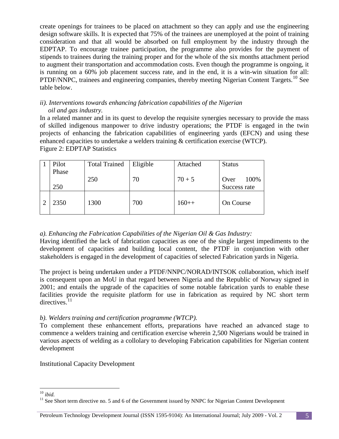create openings for trainees to be placed on attachment so they can apply and use the engineering design software skills. It is expected that 75% of the trainees are unemployed at the point of training consideration and that all would be absorbed on full employment by the industry through the EDPTAP. To encourage trainee participation, the programme also provides for the payment of stipends to trainees during the training proper and for the whole of the six months attachment period to augment their transportation and accommodation costs. Even though the programme is ongoing, it is running on a 60% job placement success rate, and in the end, it is a win-win situation for all: PTDF/NNPC, trainees and engineering companies, thereby meeting Nigerian Content Targets.<sup>[10](#page-4-0)</sup> See table below.

#### *ii). Interventions towards enhancing fabrication capabilities of the Nigerian oil and gas industry.*

In a related manner and in its quest to develop the requisite synergies necessary to provide the mass of skilled indigenous manpower to drive industry operations; the PTDF is engaged in the twin projects of enhancing the fabrication capabilities of engineering yards (EFCN) and using these enhanced capacities to undertake a welders training & certification exercise (WTCP). Figure 2: EDPTAP Statistics

| Pilot | <b>Total Trained</b> | Eligible | Attached | <b>Status</b> |
|-------|----------------------|----------|----------|---------------|
| Phase |                      |          |          |               |
|       | 250                  | 70       | $70 + 5$ | 100%<br>Over  |
| 250   |                      |          |          | Success rate  |
| 2350  | 1300                 | 700      | $160++$  | On Course     |

# *a). Enhancing the Fabrication Capabilities of the Nigerian Oil & Gas Industry:*

Having identified the lack of fabrication capacities as one of the single largest impediments to the development of capacities and building local content, the PTDF in conjunction with other stakeholders is engaged in the development of capacities of selected Fabrication yards in Nigeria.

The project is being undertaken under a PTDF/NNPC/NORAD/INTSOK collaboration, which itself is consequent upon an MoU in that regard between Nigeria and the Republic of Norway signed in 2001; and entails the upgrade of the capacities of some notable fabrication yards to enable these facilities provide the requisite platform for use in fabrication as required by NC short term directives.<sup>[11](#page-4-1)</sup>

# *b). Welders training and certification programme (WTCP).*

To complement these enhancement efforts, preparations have reached an advanced stage to commence a welders training and certification exercise wherein 2,500 Nigerians would be trained in various aspects of welding as a collolary to developing Fabrication capabilities for Nigerian content development

Institutional Capacity Development

<span id="page-4-1"></span><span id="page-4-0"></span><sup>&</sup>lt;sup>10</sup> *ibid.* <sup>11</sup> See Short term directive no. 5 and 6 of the Government issued by NNPC for Nigerian Content Development <sup>11</sup> See Short term directive no. 5 and 6 of the Government issued by NNPC for Nigerian Content Devel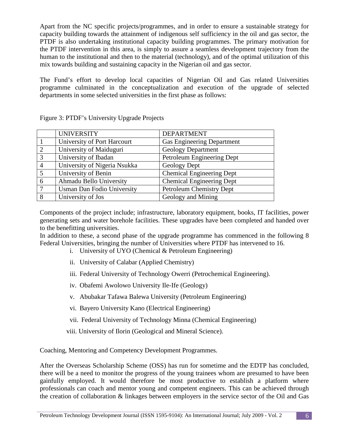Apart from the NC specific projects/programmes, and in order to ensure a sustainable strategy for capacity building towards the attainment of indigenous self sufficiency in the oil and gas sector, the PTDF is also undertaking institutional capacity building programmes. The primary motivation for the PTDF intervention in this area, is simply to assure a seamless development trajectory from the human to the institutional and then to the material (technology), and of the optimal utilization of this mix towards building and sustaining capacity in the Nigerian oil and gas sector.

The Fund's effort to develop local capacities of Nigerian Oil and Gas related Universities programme culminated in the conceptualization and execution of the upgrade of selected departments in some selected universities in the first phase as follows:

|   | <b>UNIVERSITY</b>                 | <b>DEPARTMENT</b>                |
|---|-----------------------------------|----------------------------------|
|   | University of Port Harcourt       | Gas Engineering Department       |
| 2 | University of Maiduguri           | <b>Geology Department</b>        |
| 3 | University of Ibadan              | Petroleum Engineering Dept       |
|   | University of Nigeria Nsukka      | Geology Dept                     |
| 5 | University of Benin               | <b>Chemical Engineering Dept</b> |
| 6 | Ahmadu Bello University           | <b>Chemical Engineering Dept</b> |
|   | <b>Usman Dan Fodio University</b> | Petroleum Chemistry Dept         |
| 8 | University of Jos                 | Geology and Mining               |

Figure 3: PTDF's University Upgrade Projects

Components of the project include; infrastructure, laboratory equipment, books, IT facilities, power generating sets and water borehole facilities. These upgrades have been completed and handed over to the benefitting universities.

In addition to these, a second phase of the upgrade programme has commenced in the following 8 Federal Universities, bringing the number of Universities where PTDF has intervened to 16.

- i. University of UYO (Chemical & Petroleum Engineering)
- ii. University of Calabar (Applied Chemistry)
- iii. Federal University of Technology Owerri (Petrochemical Engineering).
- iv. Obafemi Awolowo University Ile-Ife (Geology)
- v. Abubakar Tafawa Balewa University (Petroleum Engineering)
- vi. Bayero University Kano (Electrical Engineering)
- vii. Federal University of Technology Minna (Chemical Engineering)
- viii. University of Ilorin (Geological and Mineral Science).

Coaching, Mentoring and Competency Development Programmes.

After the Overseas Scholarship Scheme (OSS) has run for sometime and the EDTP has concluded, there will be a need to monitor the progress of the young trainees whom are presumed to have been gainfully employed. It would therefore be most productive to establish a platform where professionals can coach and mentor young and competent engineers. This can be achieved through the creation of collaboration & linkages between employers in the service sector of the Oil and Gas